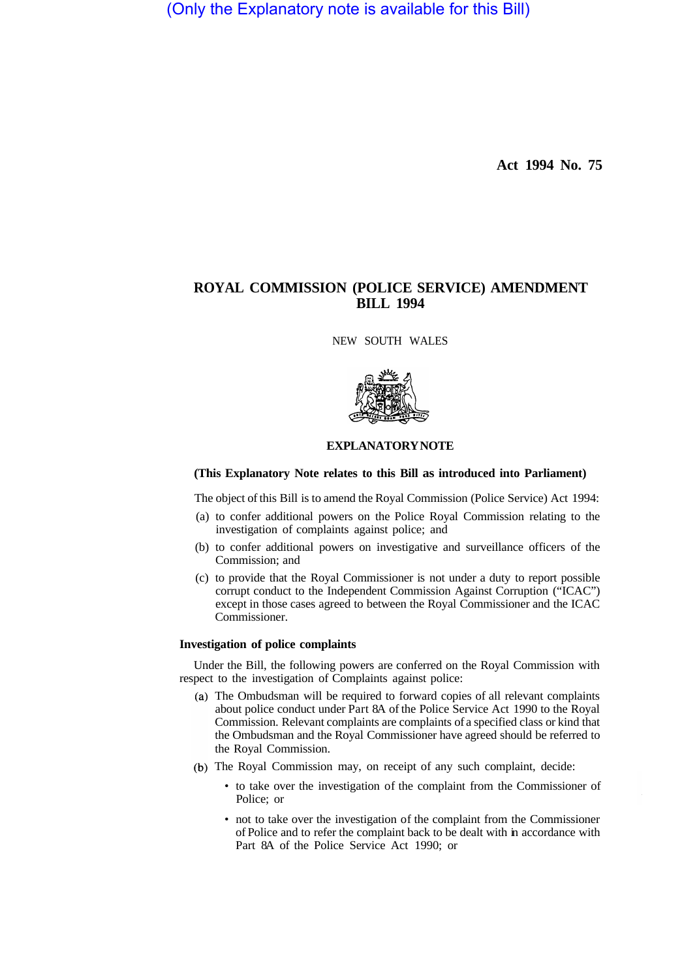(Only the Explanatory note is available for this Bill)

**Act 1994 No. 75** 

# **ROYAL COMMISSION (POLICE SERVICE) AMENDMENT BILL 1994**

NEW SOUTH WALES



# **EXPLANATORY NOTE**

# **(This Explanatory Note relates to this Bill as introduced into Parliament)**

The object of this Bill is to amend the Royal Commission (Police Service) Act 1994:

- (a) to confer additional powers on the Police Royal Commission relating to the investigation of complaints against police; and
- (b) to confer additional powers on investigative and surveillance officers of the Commission; and
- (c) to provide that the Royal Commissioner is not under a duty to report possible corrupt conduct to the Independent Commission Against Corruption ("ICAC") except in those cases agreed to between the Royal Commissioner and the ICAC Commissioner.

#### **Investigation of police complaints**

Under the Bill, the following powers are conferred on the Royal Commission with respect to the investigation of Complaints against police:

- The Ombudsman will be required to forward copies of all relevant complaints about police conduct under Part 8A of the Police Service Act 1990 to the Royal Commission. Relevant complaints are complaints of a specified class or kind that the Ombudsman and the Royal Commissioner have agreed should be referred to the Royal Commission.
- (b) The Royal Commission may, on receipt of any such complaint, decide:
	- to take over the investigation of the complaint from the Commissioner of Police; or
	- not to take over the investigation of the complaint from the Commissioner of Police and to refer the complaint back to be dealt with in accordance with Part 8A of the Police Service Act 1990; or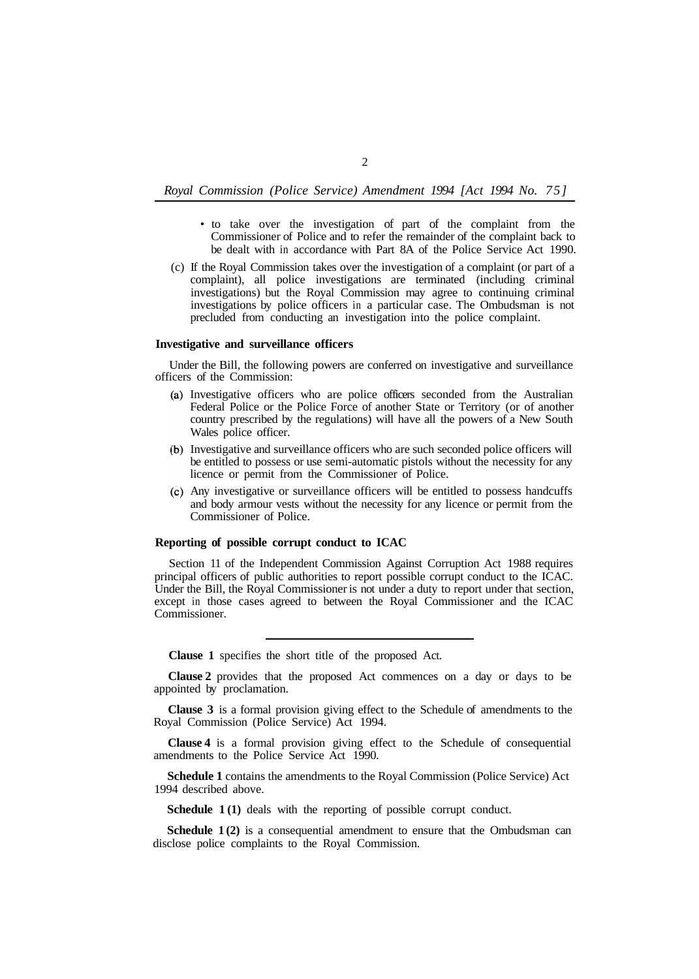### *Royal Commission (Police Service) Amendment 1994 [Act 1994 No. 75]*

- to take over the investigation of part of the complaint from the Commissioner of Police and to refer the remainder of the complaint back to be dealt with in accordance with Part 8A of the Police Service Act 1990.
- (c) If the Royal Commission takes over the investigation of a complaint (or part of a complaint), all police investigations are terminated (including criminal investigations) but the Royal Commission may agree to continuing criminal investigations by police officers in a particular case. The Ombudsman is not precluded from conducting an investigation into the police complaint.

#### **Investigative and surveillance officers**

Under the Bill, the following powers are conferred on investigative and surveillance officers of the Commission:

- Investigative officers who are police officers seconded from the Australian Federal Police or the Police Force of another State or Territory (or of another country prescribed by the regulations) will have all the powers of a New South Wales police officer.
- (b) Investigative and surveillance officers who are such seconded police officers will be entitled to possess or use semi-automatic pistols without the necessity for any licence or permit from the Commissioner of Police.
- Any investigative or surveillance officers will be entitled to possess handcuffs and body armour vests without the necessity for any licence or permit from the Commissioner of Police.

# **Reporting of possible corrupt conduct to ICAC**

Section 11 of the Independent Commission Against Corruption Act 1988 requires principal officers of public authorities to report possible corrupt conduct to the ICAC. Under the Bill, the Royal Commissioner is not under a duty to report under that section, except in those cases agreed to between the Royal Commissioner and the ICAC Commissioner.

**Clause 1** specifies the short title of the proposed Act.

**Clause 2** provides that the proposed Act commences on a day or days to be appointed by proclamation.

**Clause 3** is a formal provision giving effect to the Schedule of amendments to the Royal Commission (Police Service) Act 1994.

**Clause 4** is a formal provision giving effect to the Schedule of consequential amendments to the Police Service Act 1990.

**Schedule 1** contains the amendments to the Royal Commission (Police Service) Act 1994 described above.

**Schedule 1 (1)** deals with the reporting of possible corrupt conduct.

**Schedule 1(2)** is a consequential amendment to ensure that the Ombudsman can disclose police complaints to the Royal Commission.